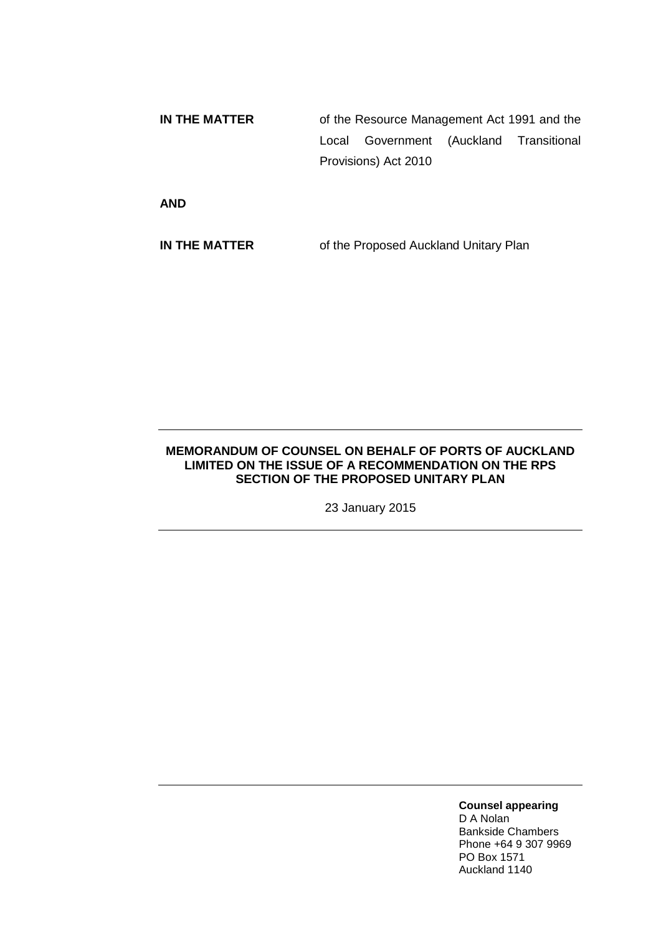**IN THE MATTER** of the Resource Management Act 1991 and the Local Government (Auckland Transitional Provisions) Act 2010

**AND**

**IN THE MATTER** of the Proposed Auckland Unitary Plan

## **MEMORANDUM OF COUNSEL ON BEHALF OF PORTS OF AUCKLAND LIMITED ON THE ISSUE OF A RECOMMENDATION ON THE RPS SECTION OF THE PROPOSED UNITARY PLAN**

23 January 2015

**Counsel appearing**

D A Nolan Bankside Chambers Phone +64 9 307 9969 PO Box 1571 Auckland 1140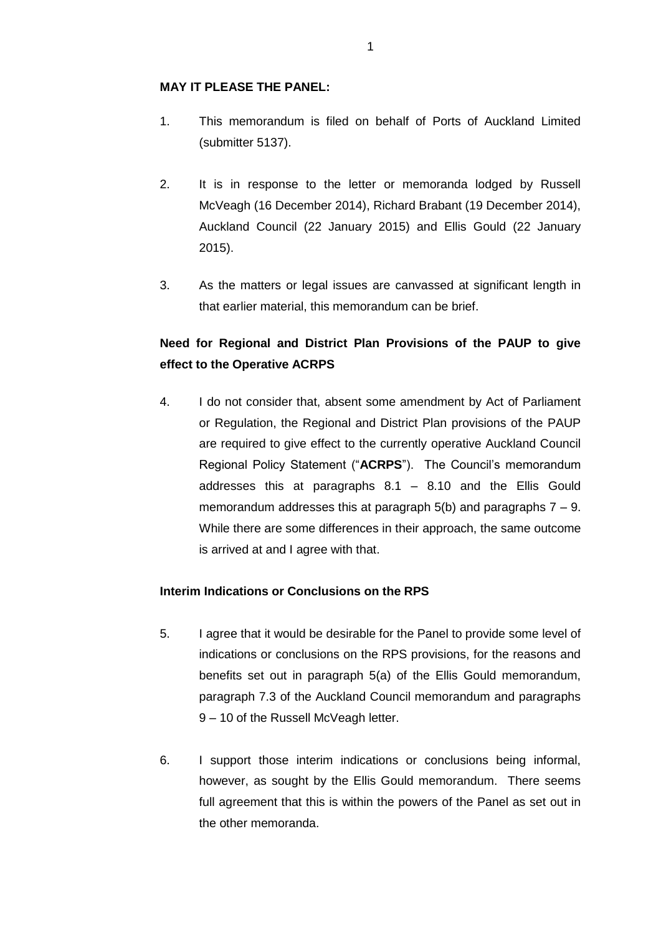## **MAY IT PLEASE THE PANEL:**

- 1. This memorandum is filed on behalf of Ports of Auckland Limited (submitter 5137).
- 2. It is in response to the letter or memoranda lodged by Russell McVeagh (16 December 2014), Richard Brabant (19 December 2014), Auckland Council (22 January 2015) and Ellis Gould (22 January 2015).
- 3. As the matters or legal issues are canvassed at significant length in that earlier material, this memorandum can be brief.

## **Need for Regional and District Plan Provisions of the PAUP to give effect to the Operative ACRPS**

4. I do not consider that, absent some amendment by Act of Parliament or Regulation, the Regional and District Plan provisions of the PAUP are required to give effect to the currently operative Auckland Council Regional Policy Statement ("**ACRPS**"). The Council's memorandum addresses this at paragraphs 8.1 – 8.10 and the Ellis Gould memorandum addresses this at paragraph  $5(b)$  and paragraphs  $7 - 9$ . While there are some differences in their approach, the same outcome is arrived at and I agree with that.

## **Interim Indications or Conclusions on the RPS**

- 5. I agree that it would be desirable for the Panel to provide some level of indications or conclusions on the RPS provisions, for the reasons and benefits set out in paragraph 5(a) of the Ellis Gould memorandum, paragraph 7.3 of the Auckland Council memorandum and paragraphs 9 – 10 of the Russell McVeagh letter.
- 6. I support those interim indications or conclusions being informal, however, as sought by the Ellis Gould memorandum. There seems full agreement that this is within the powers of the Panel as set out in the other memoranda.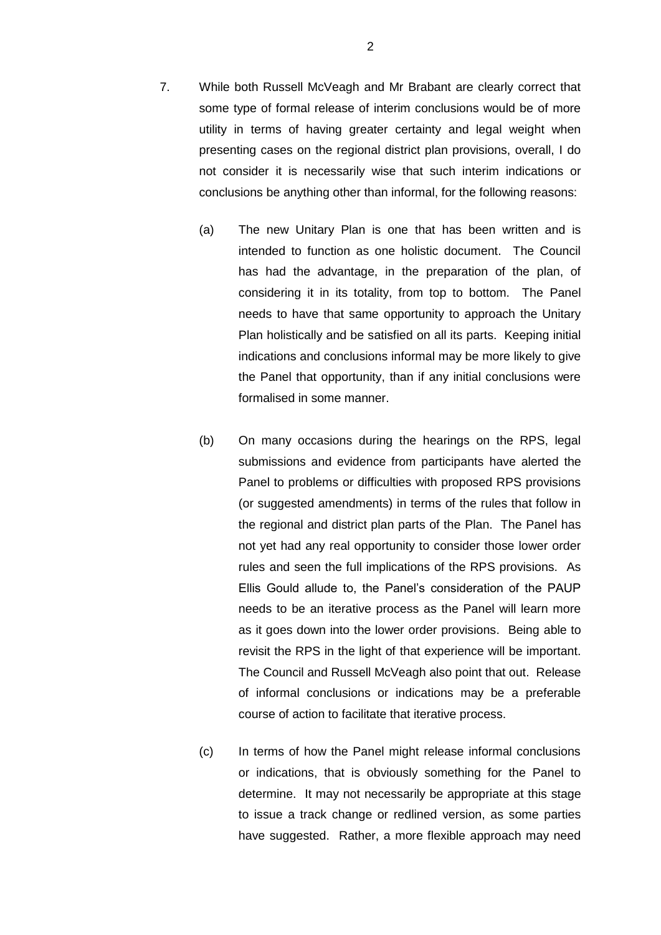- 7. While both Russell McVeagh and Mr Brabant are clearly correct that some type of formal release of interim conclusions would be of more utility in terms of having greater certainty and legal weight when presenting cases on the regional district plan provisions, overall, I do not consider it is necessarily wise that such interim indications or conclusions be anything other than informal, for the following reasons:
	- (a) The new Unitary Plan is one that has been written and is intended to function as one holistic document. The Council has had the advantage, in the preparation of the plan, of considering it in its totality, from top to bottom. The Panel needs to have that same opportunity to approach the Unitary Plan holistically and be satisfied on all its parts. Keeping initial indications and conclusions informal may be more likely to give the Panel that opportunity, than if any initial conclusions were formalised in some manner.
	- (b) On many occasions during the hearings on the RPS, legal submissions and evidence from participants have alerted the Panel to problems or difficulties with proposed RPS provisions (or suggested amendments) in terms of the rules that follow in the regional and district plan parts of the Plan. The Panel has not yet had any real opportunity to consider those lower order rules and seen the full implications of the RPS provisions. As Ellis Gould allude to, the Panel's consideration of the PAUP needs to be an iterative process as the Panel will learn more as it goes down into the lower order provisions. Being able to revisit the RPS in the light of that experience will be important. The Council and Russell McVeagh also point that out. Release of informal conclusions or indications may be a preferable course of action to facilitate that iterative process.
	- (c) In terms of how the Panel might release informal conclusions or indications, that is obviously something for the Panel to determine. It may not necessarily be appropriate at this stage to issue a track change or redlined version, as some parties have suggested. Rather, a more flexible approach may need